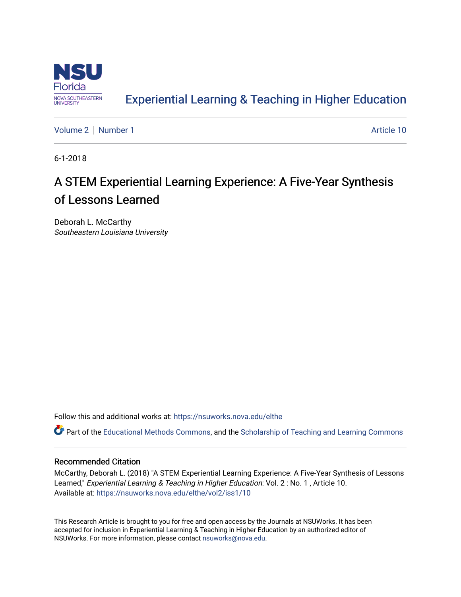

# [Experiential Learning & Teaching in Higher Education](https://nsuworks.nova.edu/elthe)

[Volume 2](https://nsuworks.nova.edu/elthe/vol2) | [Number 1](https://nsuworks.nova.edu/elthe/vol2/iss1) Article 10

6-1-2018

# A STEM Experiential Learning Experience: A Five-Year Synthesis of Lessons Learned

Deborah L. McCarthy Southeastern Louisiana University

Follow this and additional works at: [https://nsuworks.nova.edu/elthe](https://nsuworks.nova.edu/elthe?utm_source=nsuworks.nova.edu%2Felthe%2Fvol2%2Fiss1%2F10&utm_medium=PDF&utm_campaign=PDFCoverPages)

Part of the [Educational Methods Commons,](http://network.bepress.com/hgg/discipline/1227?utm_source=nsuworks.nova.edu%2Felthe%2Fvol2%2Fiss1%2F10&utm_medium=PDF&utm_campaign=PDFCoverPages) and the Scholarship of Teaching and Learning Commons

#### Recommended Citation

McCarthy, Deborah L. (2018) "A STEM Experiential Learning Experience: A Five-Year Synthesis of Lessons Learned," Experiential Learning & Teaching in Higher Education: Vol. 2: No. 1, Article 10. Available at: [https://nsuworks.nova.edu/elthe/vol2/iss1/10](https://nsuworks.nova.edu/elthe/vol2/iss1/10?utm_source=nsuworks.nova.edu%2Felthe%2Fvol2%2Fiss1%2F10&utm_medium=PDF&utm_campaign=PDFCoverPages) 

This Research Article is brought to you for free and open access by the Journals at NSUWorks. It has been accepted for inclusion in Experiential Learning & Teaching in Higher Education by an authorized editor of NSUWorks. For more information, please contact [nsuworks@nova.edu](mailto:nsuworks@nova.edu).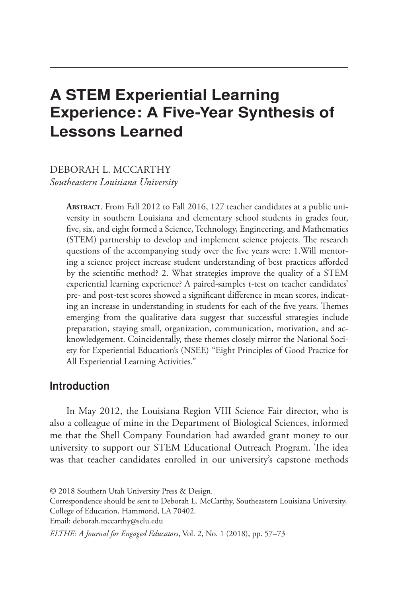# A STEM Experiential Learning Experience: A Five-Year Synthesis of Lessons Learned

DEBORAH L. MCCARTHY *Southeastern Louisiana University*

> **Abstract**. From Fall 2012 to Fall 2016, 127 teacher candidates at a public university in southern Louisiana and elementary school students in grades four, five, six, and eight formed a Science, Technology, Engineering, and Mathematics (STEM) partnership to develop and implement science projects. The research questions of the accompanying study over the five years were: 1.Will mentoring a science project increase student understanding of best practices afforded by the scientific method? 2. What strategies improve the quality of a STEM experiential learning experience? A paired-samples t-test on teacher candidates' pre- and post-test scores showed a significant difference in mean scores, indicating an increase in understanding in students for each of the five years. Themes emerging from the qualitative data suggest that successful strategies include preparation, staying small, organization, communication, motivation, and acknowledgement. Coincidentally, these themes closely mirror the National Society for Experiential Education's (NSEE) "Eight Principles of Good Practice for All Experiential Learning Activities."

#### Introduction

In May 2012, the Louisiana Region VIII Science Fair director, who is also a colleague of mine in the Department of Biological Sciences, informed me that the Shell Company Foundation had awarded grant money to our university to support our STEM Educational Outreach Program. The idea was that teacher candidates enrolled in our university's capstone methods

Email: deborah.mccarthy@selu.edu

*ELTHE: A Journal for Engaged Educators*, Vol. 2, No. 1 (2018), pp. 57-73

<sup>© 2018</sup> Southern Utah University Press & Design.

Correspondence should be sent to Deborah L. McCarthy, Southeastern Louisiana University, College of Education, Hammond, LA 70402.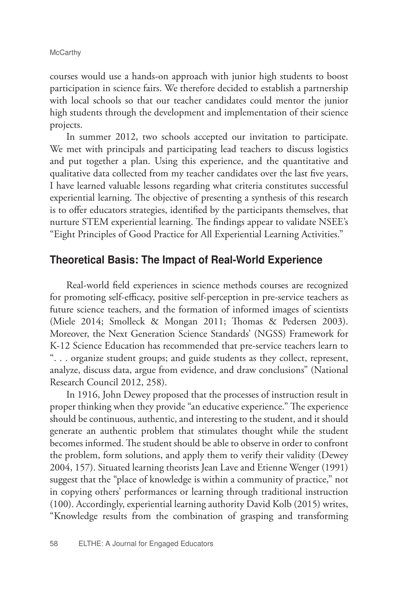courses would use a hands-on approach with junior high students to boost participation in science fairs. We therefore decided to establish a partnership with local schools so that our teacher candidates could mentor the junior high students through the development and implementation of their science projects.

In summer 2012, two schools accepted our invitation to participate. We met with principals and participating lead teachers to discuss logistics and put together a plan. Using this experience, and the quantitative and qualitative data collected from my teacher candidates over the last five years, I have learned valuable lessons regarding what criteria constitutes successful experiential learning. The objective of presenting a synthesis of this research is to offer educators strategies, identified by the participants themselves, that nurture STEM experiential learning. The findings appear to validate NSEE's "Eight Principles of Good Practice for All Experiential Learning Activities."

#### Theoretical Basis: The Impact of Real-World Experience

Real-world field experiences in science methods courses are recognized for promoting self-efficacy, positive self-perception in pre-service teachers as future science teachers, and the formation of informed images of scientists (Miele 2014; Smolleck & Mongan 2011; Thomas & Pedersen 2003). Moreover, the Next Generation Science Standards' (NGSS) Framework for K-12 Science Education has recommended that pre-service teachers learn to ". . . organize student groups; and guide students as they collect, represent, analyze, discuss data, argue from evidence, and draw conclusions" (National Research Council 2012, 258).

In 1916, John Dewey proposed that the processes of instruction result in proper thinking when they provide "an educative experience." The experience should be continuous, authentic, and interesting to the student, and it should generate an authentic problem that stimulates thought while the student becomes informed. The student should be able to observe in order to confront the problem, form solutions, and apply them to verify their validity (Dewey 2004, 157). Situated learning theorists Jean Lave and Etienne Wenger (1991) suggest that the "place of knowledge is within a community of practice," not in copying others' performances or learning through traditional instruction (100). Accordingly, experiential learning authority David Kolb (2015) writes, "Knowledge results from the combination of grasping and transforming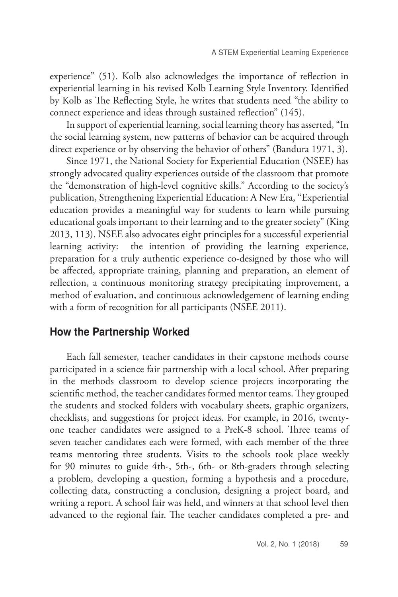experience" (51). Kolb also acknowledges the importance of reflection in experiential learning in his revised Kolb Learning Style Inventory. Identified by Kolb as The Reflecting Style, he writes that students need "the ability to connect experience and ideas through sustained reflection" (145).

In support of experiential learning, social learning theory has asserted, "In the social learning system, new patterns of behavior can be acquired through direct experience or by observing the behavior of others" (Bandura 1971, 3).

Since 1971, the National Society for Experiential Education (NSEE) has strongly advocated quality experiences outside of the classroom that promote the "demonstration of high-level cognitive skills." According to the society's publication, Strengthening Experiential Education: A New Era, "Experiential education provides a meaningful way for students to learn while pursuing educational goals important to their learning and to the greater society" (King 2013, 113). NSEE also advocates eight principles for a successful experiential learning activity: the intention of providing the learning experience, preparation for a truly authentic experience co-designed by those who will be affected, appropriate training, planning and preparation, an element of reflection, a continuous monitoring strategy precipitating improvement, a method of evaluation, and continuous acknowledgement of learning ending with a form of recognition for all participants (NSEE 2011).

# How the Partnership Worked

Each fall semester, teacher candidates in their capstone methods course participated in a science fair partnership with a local school. After preparing in the methods classroom to develop science projects incorporating the scientific method, the teacher candidates formed mentor teams. They grouped the students and stocked folders with vocabulary sheets, graphic organizers, checklists, and suggestions for project ideas. For example, in 2016, twentyone teacher candidates were assigned to a PreK-8 school. Three teams of seven teacher candidates each were formed, with each member of the three teams mentoring three students. Visits to the schools took place weekly for 90 minutes to guide 4th-, 5th-, 6th- or 8th-graders through selecting a problem, developing a question, forming a hypothesis and a procedure, collecting data, constructing a conclusion, designing a project board, and writing a report. A school fair was held, and winners at that school level then advanced to the regional fair. The teacher candidates completed a pre- and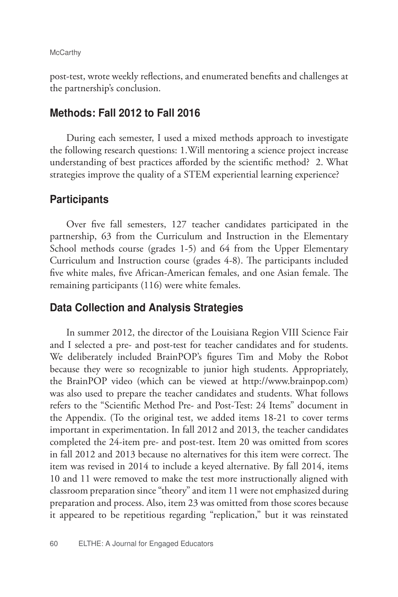#### **McCarthy**

post-test, wrote weekly reflections, and enumerated benefits and challenges at the partnership's conclusion.

# Methods: Fall 2012 to Fall 2016

During each semester, I used a mixed methods approach to investigate the following research questions: 1.Will mentoring a science project increase understanding of best practices afforded by the scientific method? 2. What strategies improve the quality of a STEM experiential learning experience?

### **Participants**

Over five fall semesters, 127 teacher candidates participated in the partnership, 63 from the Curriculum and Instruction in the Elementary School methods course (grades 1-5) and 64 from the Upper Elementary Curriculum and Instruction course (grades 4-8). The participants included five white males, five African-American females, and one Asian female. The remaining participants (116) were white females.

# Data Collection and Analysis Strategies

In summer 2012, the director of the Louisiana Region VIII Science Fair and I selected a pre- and post-test for teacher candidates and for students. We deliberately included BrainPOP's figures Tim and Moby the Robot because they were so recognizable to junior high students. Appropriately, the BrainPOP video (which can be viewed at http://www.brainpop.com) was also used to prepare the teacher candidates and students. What follows refers to the "Scientific Method Pre- and Post-Test: 24 Items" document in the Appendix. (To the original test, we added items 18-21 to cover terms important in experimentation. In fall 2012 and 2013, the teacher candidates completed the 24-item pre- and post-test. Item 20 was omitted from scores in fall 2012 and 2013 because no alternatives for this item were correct. The item was revised in 2014 to include a keyed alternative. By fall 2014, items 10 and 11 were removed to make the test more instructionally aligned with classroom preparation since "theory" and item 11 were not emphasized during preparation and process. Also, item 23 was omitted from those scores because it appeared to be repetitious regarding "replication," but it was reinstated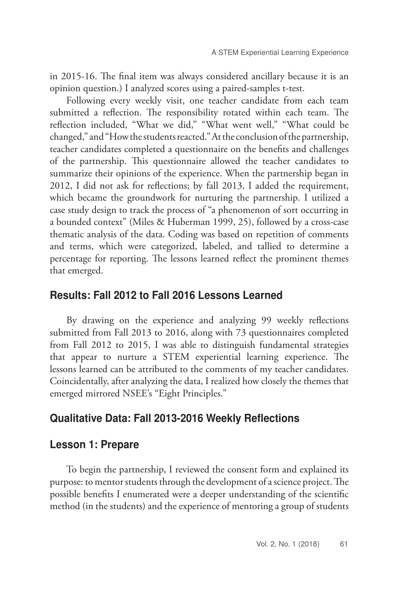in 2015-16. The final item was always considered ancillary because it is an opinion question.) I analyzed scores using a paired-samples t-test.

Following every weekly visit, one teacher candidate from each team submitted a reflection. The responsibility rotated within each team. The reflection included, "What we did," "What went well," "What could be changed," and "How the students reacted." At the conclusion of the partnership, teacher candidates completed a questionnaire on the benefits and challenges of the partnership. This questionnaire allowed the teacher candidates to summarize their opinions of the experience. When the partnership began in 2012, I did not ask for reflections; by fall 2013, I added the requirement, which became the groundwork for nurturing the partnership. I utilized a case study design to track the process of "a phenomenon of sort occurring in a bounded context" (Miles & Huberman 1999, 25), followed by a cross-case thematic analysis of the data. Coding was based on repetition of comments and terms, which were categorized, labeled, and tallied to determine a percentage for reporting. The lessons learned reflect the prominent themes that emerged.

# Results: Fall 2012 to Fall 2016 Lessons Learned

By drawing on the experience and analyzing 99 weekly reflections submitted from Fall 2013 to 2016, along with 73 questionnaires completed from Fall 2012 to 2015, I was able to distinguish fundamental strategies that appear to nurture a STEM experiential learning experience. The lessons learned can be attributed to the comments of my teacher candidates. Coincidentally, after analyzing the data, I realized how closely the themes that emerged mirrored NSEE's "Eight Principles."

# Qualitative Data: Fall 2013-2016 Weekly Reflections

### Lesson 1: Prepare

To begin the partnership, I reviewed the consent form and explained its purpose: to mentor students through the development of a science project. The possible benefits I enumerated were a deeper understanding of the scientific method (in the students) and the experience of mentoring a group of students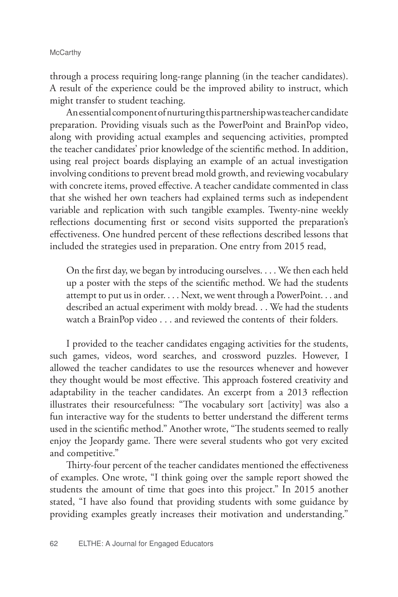through a process requiring long-range planning (in the teacher candidates). A result of the experience could be the improved ability to instruct, which might transfer to student teaching.

An essential component of nurturing this partnership was teacher candidate preparation. Providing visuals such as the PowerPoint and BrainPop video, along with providing actual examples and sequencing activities, prompted the teacher candidates' prior knowledge of the scientific method. In addition, using real project boards displaying an example of an actual investigation involving conditions to prevent bread mold growth, and reviewing vocabulary with concrete items, proved effective. A teacher candidate commented in class that she wished her own teachers had explained terms such as independent variable and replication with such tangible examples. Twenty-nine weekly reflections documenting first or second visits supported the preparation's effectiveness. One hundred percent of these reflections described lessons that included the strategies used in preparation. One entry from 2015 read,

On the first day, we began by introducing ourselves. . . . We then each held up a poster with the steps of the scientific method. We had the students attempt to put us in order. . . . Next, we went through a PowerPoint. . . and described an actual experiment with moldy bread. . . We had the students watch a BrainPop video . . . and reviewed the contents of their folders.

I provided to the teacher candidates engaging activities for the students, such games, videos, word searches, and crossword puzzles. However, I allowed the teacher candidates to use the resources whenever and however they thought would be most effective. This approach fostered creativity and adaptability in the teacher candidates. An excerpt from a 2013 reflection illustrates their resourcefulness: "The vocabulary sort [activity] was also a fun interactive way for the students to better understand the different terms used in the scientific method." Another wrote, "The students seemed to really enjoy the Jeopardy game. There were several students who got very excited and competitive."

Thirty-four percent of the teacher candidates mentioned the effectiveness of examples. One wrote, "I think going over the sample report showed the students the amount of time that goes into this project." In 2015 another stated, "I have also found that providing students with some guidance by providing examples greatly increases their motivation and understanding."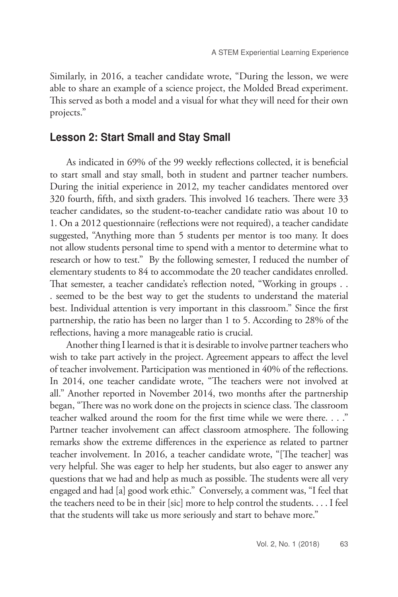Similarly, in 2016, a teacher candidate wrote, "During the lesson, we were able to share an example of a science project, the Molded Bread experiment. This served as both a model and a visual for what they will need for their own projects."

#### Lesson 2: Start Small and Stay Small

As indicated in 69% of the 99 weekly reflections collected, it is beneficial to start small and stay small, both in student and partner teacher numbers. During the initial experience in 2012, my teacher candidates mentored over 320 fourth, fifth, and sixth graders. This involved 16 teachers. There were 33 teacher candidates, so the student-to-teacher candidate ratio was about 10 to 1. On a 2012 questionnaire (reflections were not required), a teacher candidate suggested, "Anything more than 5 students per mentor is too many. It does not allow students personal time to spend with a mentor to determine what to research or how to test." By the following semester, I reduced the number of elementary students to 84 to accommodate the 20 teacher candidates enrolled. That semester, a teacher candidate's reflection noted, "Working in groups . . . seemed to be the best way to get the students to understand the material best. Individual attention is very important in this classroom." Since the first partnership, the ratio has been no larger than 1 to 5. According to 28% of the reflections, having a more manageable ratio is crucial.

Another thing I learned is that it is desirable to involve partner teachers who wish to take part actively in the project. Agreement appears to affect the level of teacher involvement. Participation was mentioned in 40% of the reflections. In 2014, one teacher candidate wrote, "The teachers were not involved at all." Another reported in November 2014, two months after the partnership began, "There was no work done on the projects in science class. The classroom teacher walked around the room for the first time while we were there. . . ." Partner teacher involvement can affect classroom atmosphere. The following remarks show the extreme differences in the experience as related to partner teacher involvement. In 2016, a teacher candidate wrote, "[The teacher] was very helpful. She was eager to help her students, but also eager to answer any questions that we had and help as much as possible. The students were all very engaged and had [a] good work ethic." Conversely, a comment was, "I feel that the teachers need to be in their [sic] more to help control the students. . . . I feel that the students will take us more seriously and start to behave more."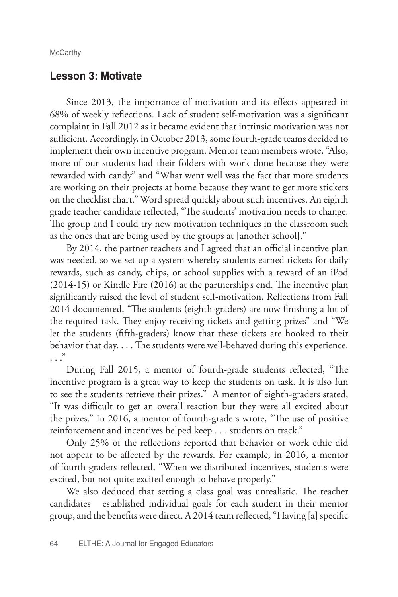#### Lesson 3: Motivate

Since 2013, the importance of motivation and its effects appeared in 68% of weekly reflections. Lack of student self-motivation was a significant complaint in Fall 2012 as it became evident that intrinsic motivation was not sufficient. Accordingly, in October 2013, some fourth-grade teams decided to implement their own incentive program. Mentor team members wrote, "Also, more of our students had their folders with work done because they were rewarded with candy" and "What went well was the fact that more students are working on their projects at home because they want to get more stickers on the checklist chart." Word spread quickly about such incentives. An eighth grade teacher candidate reflected, "The students' motivation needs to change. The group and I could try new motivation techniques in the classroom such as the ones that are being used by the groups at [another school]."

By 2014, the partner teachers and I agreed that an official incentive plan was needed, so we set up a system whereby students earned tickets for daily rewards, such as candy, chips, or school supplies with a reward of an iPod (2014-15) or Kindle Fire (2016) at the partnership's end. The incentive plan significantly raised the level of student self-motivation. Reflections from Fall 2014 documented, "The students (eighth-graders) are now finishing a lot of the required task. They enjoy receiving tickets and getting prizes" and "We let the students (fifth-graders) know that these tickets are hooked to their behavior that day. . . . The students were well-behaved during this experience.  $\cdot$  . .  $\cdot$ 

During Fall 2015, a mentor of fourth-grade students reflected, "The incentive program is a great way to keep the students on task. It is also fun to see the students retrieve their prizes." A mentor of eighth-graders stated, "It was difficult to get an overall reaction but they were all excited about the prizes." In 2016, a mentor of fourth-graders wrote, "The use of positive reinforcement and incentives helped keep . . . students on track."

Only 25% of the reflections reported that behavior or work ethic did not appear to be affected by the rewards. For example, in 2016, a mentor of fourth-graders reflected, "When we distributed incentives, students were excited, but not quite excited enough to behave properly."

We also deduced that setting a class goal was unrealistic. The teacher candidates established individual goals for each student in their mentor group, and the benefits were direct. A 2014 team reflected, "Having [a] specific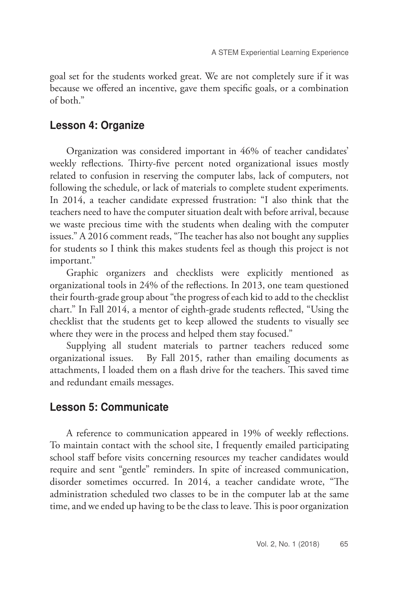goal set for the students worked great. We are not completely sure if it was because we offered an incentive, gave them specific goals, or a combination of both."

#### Lesson 4: Organize

Organization was considered important in 46% of teacher candidates' weekly reflections. Thirty-five percent noted organizational issues mostly related to confusion in reserving the computer labs, lack of computers, not following the schedule, or lack of materials to complete student experiments. In 2014, a teacher candidate expressed frustration: "I also think that the teachers need to have the computer situation dealt with before arrival, because we waste precious time with the students when dealing with the computer issues." A 2016 comment reads, "The teacher has also not bought any supplies for students so I think this makes students feel as though this project is not important."

Graphic organizers and checklists were explicitly mentioned as organizational tools in 24% of the reflections. In 2013, one team questioned their fourth-grade group about "the progress of each kid to add to the checklist chart." In Fall 2014, a mentor of eighth-grade students reflected, "Using the checklist that the students get to keep allowed the students to visually see where they were in the process and helped them stay focused."

Supplying all student materials to partner teachers reduced some organizational issues. By Fall 2015, rather than emailing documents as attachments, I loaded them on a flash drive for the teachers. This saved time and redundant emails messages.

### Lesson 5: Communicate

A reference to communication appeared in 19% of weekly reflections. To maintain contact with the school site, I frequently emailed participating school staff before visits concerning resources my teacher candidates would require and sent "gentle" reminders. In spite of increased communication, disorder sometimes occurred. In 2014, a teacher candidate wrote, "The administration scheduled two classes to be in the computer lab at the same time, and we ended up having to be the class to leave. This is poor organization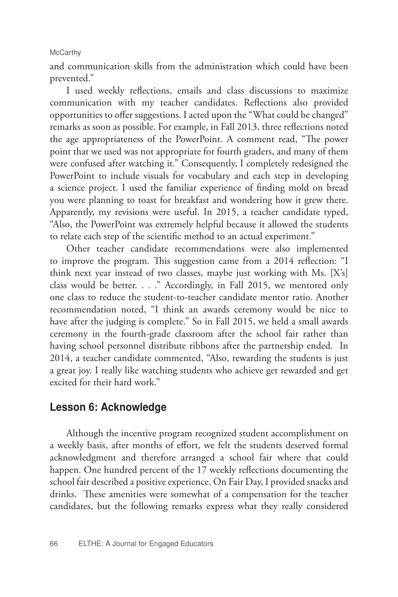#### **McCarthy**

and communication skills from the administration which could have been prevented."

I used weekly reflections, emails and class discussions to maximize communication with my teacher candidates. Reflections also provided opportunities to offer suggestions. I acted upon the "What could be changed" remarks as soon as possible. For example, in Fall 2013, three reflections noted the age appropriateness of the PowerPoint. A comment read, "The power point that we used was not appropriate for fourth graders, and many of them were confused after watching it." Consequently, I completely redesigned the PowerPoint to include visuals for vocabulary and each step in developing a science project. I used the familiar experience of finding mold on bread you were planning to toast for breakfast and wondering how it grew there. Apparently, my revisions were useful. In 2015, a teacher candidate typed, "Also, the PowerPoint was extremely helpful because it allowed the students to relate each step of the scientific method to an actual experiment."

Other teacher candidate recommendations were also implemented to improve the program. This suggestion came from a 2014 reflection: "I think next year instead of two classes, maybe just working with Ms. [X's] class would be better. . . ." Accordingly, in Fall 2015, we mentored only one class to reduce the student-to-teacher candidate mentor ratio. Another recommendation noted, "I think an awards ceremony would be nice to have after the judging is complete." So in Fall 2015, we held a small awards ceremony in the fourth-grade classroom after the school fair rather than having school personnel distribute ribbons after the partnership ended. In 2014, a teacher candidate commented, "Also, rewarding the students is just a great joy. I really like watching students who achieve get rewarded and get excited for their hard work."

#### Lesson 6: Acknowledge

Although the incentive program recognized student accomplishment on a weekly basis, after months of effort, we felt the students deserved formal acknowledgment and therefore arranged a school fair where that could happen. One hundred percent of the 17 weekly reflections documenting the school fair described a positive experience. On Fair Day, I provided snacks and drinks. These amenities were somewhat of a compensation for the teacher candidates, but the following remarks express what they really considered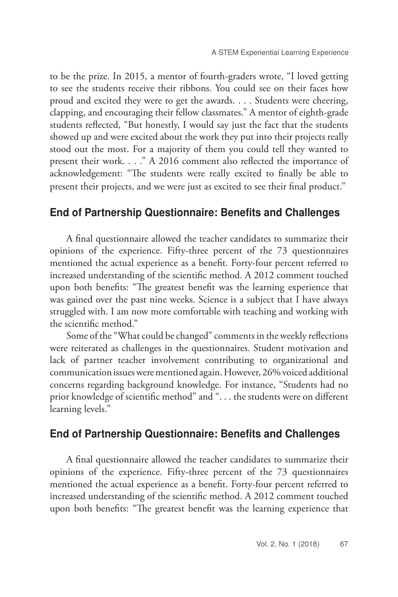to be the prize. In 2015, a mentor of fourth-graders wrote, "I loved getting to see the students receive their ribbons. You could see on their faces how proud and excited they were to get the awards. . . . Students were cheering, clapping, and encouraging their fellow classmates." A mentor of eighth-grade students reflected, "But honestly, I would say just the fact that the students showed up and were excited about the work they put into their projects really stood out the most. For a majority of them you could tell they wanted to present their work. . . ." A 2016 comment also reflected the importance of acknowledgement: "The students were really excited to finally be able to present their projects, and we were just as excited to see their final product."

# End of Partnership Questionnaire: Benefits and Challenges

A final questionnaire allowed the teacher candidates to summarize their opinions of the experience. Fifty-three percent of the 73 questionnaires mentioned the actual experience as a benefit. Forty-four percent referred to increased understanding of the scientific method. A 2012 comment touched upon both benefits: "The greatest benefit was the learning experience that was gained over the past nine weeks. Science is a subject that I have always struggled with. I am now more comfortable with teaching and working with the scientific method."

Some of the "What could be changed" comments in the weekly reflections were reiterated as challenges in the questionnaires. Student motivation and lack of partner teacher involvement contributing to organizational and communication issues were mentioned again. However, 26% voiced additional concerns regarding background knowledge. For instance, "Students had no prior knowledge of scientific method" and ". . . the students were on different learning levels."

# End of Partnership Questionnaire: Benefits and Challenges

A final questionnaire allowed the teacher candidates to summarize their opinions of the experience. Fifty-three percent of the 73 questionnaires mentioned the actual experience as a benefit. Forty-four percent referred to increased understanding of the scientific method. A 2012 comment touched upon both benefits: "The greatest benefit was the learning experience that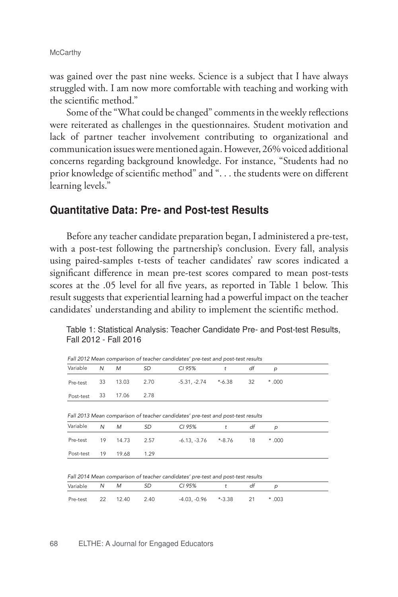was gained over the past nine weeks. Science is a subject that I have always struggled with. I am now more comfortable with teaching and working with the scientific method."

Some of the "What could be changed" comments in the weekly reflections were reiterated as challenges in the questionnaires. Student motivation and lack of partner teacher involvement contributing to organizational and communication issues were mentioned again. However, 26% voiced additional concerns regarding background knowledge. For instance, "Students had no prior knowledge of scientific method" and ". . . the students were on different learning levels."

#### Quantitative Data: Pre- and Post-test Results

Before any teacher candidate preparation began, I administered a pre-test, with a post-test following the partnership's conclusion. Every fall, analysis using paired-samples t-tests of teacher candidates' raw scores indicated a significant difference in mean pre-test scores compared to mean post-tests scores at the .05 level for all five years, as reported in Table 1 below. This result suggests that experiential learning had a powerful impact on the teacher candidates' understanding and ability to implement the scientific method.

| Variable  | N  | M     | <b>SD</b> | CI 95%                                                                                    | t         | df | p        |
|-----------|----|-------|-----------|-------------------------------------------------------------------------------------------|-----------|----|----------|
| Pre-test  | 33 | 13.03 | 2.70      | $-5.31, -2.74$                                                                            | $*$ -6.38 | 32 | $*000$ . |
| Post-test | 33 | 17.06 | 2.78      |                                                                                           |           |    |          |
|           |    |       |           |                                                                                           |           |    |          |
|           |    |       |           |                                                                                           |           |    |          |
| Variable  | N  | M     | SD        | Fall 2013 Mean comparison of teacher candidates' pre-test and post-test results<br>CI 95% | t         | df | р        |
| Pre-test  | 19 | 14.73 | 2.57      | $-6.13, -3.76$                                                                            | $*$ -8.76 | 18 | $*000$   |

Table 1: Statistical Analysis: Teacher Candidate Pre- and Post-test Results, Fall 2012 - Fall 2016

*Fall 2014 Mean comparison of teacher candidates' pre-test and post-test results*

| Variable N |    | M     | SD   | CI <sub>95%</sub>   |    |        |  |
|------------|----|-------|------|---------------------|----|--------|--|
| Pre-test   | 22 | 12.40 | 2.40 | -4.03, -0.96 *-3.38 | 21 | $*003$ |  |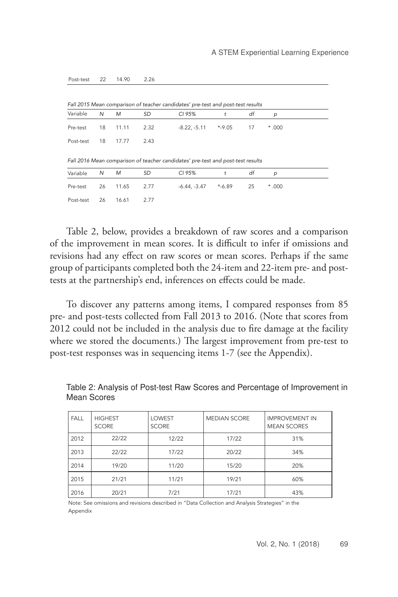| Fall 2015 Mean comparison of teacher candidates' pre-test and post-test results |  |  |      |                          |   |  |       |  |
|---------------------------------------------------------------------------------|--|--|------|--------------------------|---|--|-------|--|
| Variable N M                                                                    |  |  | - SD | CI 95%                   | t |  |       |  |
| Pre-test 18 11.11                                                               |  |  | 2.32 | $-8.22. -5.11$ *-9.05 17 |   |  | * በበበ |  |

Post-test 22 14.90 2.26

Post-test 18 17.77

*Fall 2016 Mean comparison of teacher candidates' pre-test and post-test results*

2.43

| Variable N             | M | SD <sub>3</sub> | CI 95%                               | dt |        |  |
|------------------------|---|-----------------|--------------------------------------|----|--------|--|
| Pre-test 26 11.65 2.77 |   |                 | $-6.44$ . $-3.47$ $\star$ $-6.89$ 25 |    | * .ດດດ |  |
| Post-test 26 16.61     |   | 2.77            |                                      |    |        |  |

Table 2, below, provides a breakdown of raw scores and a comparison of the improvement in mean scores. It is difficult to infer if omissions and revisions had any effect on raw scores or mean scores. Perhaps if the same group of participants completed both the 24-item and 22-item pre- and posttests at the partnership's end, inferences on effects could be made.

To discover any patterns among items, I compared responses from 85 pre- and post-tests collected from Fall 2013 to 2016. (Note that scores from 2012 could not be included in the analysis due to fire damage at the facility where we stored the documents.) The largest improvement from pre-test to post-test responses was in sequencing items 1-7 (see the Appendix).

| <b>FALL</b> | <b>HIGHEST</b><br><b>SCORE</b> | LOWEST<br><b>SCORE</b> | <b>MEDIAN SCORE</b> | <b>IMPROVEMENT IN</b><br><b>MEAN SCORES</b> |  |
|-------------|--------------------------------|------------------------|---------------------|---------------------------------------------|--|
| 2012        | 22/22                          | 12/22                  | 17/22               | 31%                                         |  |
| 2013        | 22/22                          | 17/22                  | 20/22               | 34%                                         |  |
| 2014        | 19/20                          | 11/20                  | 15/20               | 20%                                         |  |
| 2015        | 21/21                          | 11/21                  | 19/21               | 60%                                         |  |
| 2016        | 20/21                          | 7/21                   | 17/21               | 43%                                         |  |

Table 2: Analysis of Post-test Raw Scores and Percentage of Improvement in Mean Scores

Note: See omissions and revisions described in "Data Collection and Analysis Strategies" in the Appendix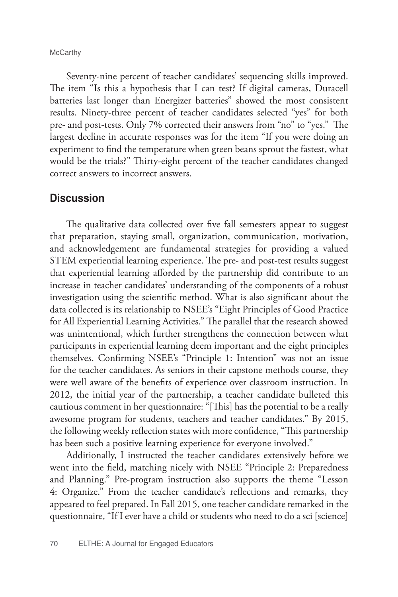#### **McCarthy**

Seventy-nine percent of teacher candidates' sequencing skills improved. The item "Is this a hypothesis that I can test? If digital cameras, Duracell batteries last longer than Energizer batteries" showed the most consistent results. Ninety-three percent of teacher candidates selected "yes" for both pre- and post-tests. Only 7% corrected their answers from "no" to "yes." The largest decline in accurate responses was for the item "If you were doing an experiment to find the temperature when green beans sprout the fastest, what would be the trials?" Thirty-eight percent of the teacher candidates changed correct answers to incorrect answers.

#### **Discussion**

The qualitative data collected over five fall semesters appear to suggest that preparation, staying small, organization, communication, motivation, and acknowledgement are fundamental strategies for providing a valued STEM experiential learning experience. The pre- and post-test results suggest that experiential learning afforded by the partnership did contribute to an increase in teacher candidates' understanding of the components of a robust investigation using the scientific method. What is also significant about the data collected is its relationship to NSEE's "Eight Principles of Good Practice for All Experiential Learning Activities." The parallel that the research showed was unintentional, which further strengthens the connection between what participants in experiential learning deem important and the eight principles themselves. Confirming NSEE's "Principle 1: Intention" was not an issue for the teacher candidates. As seniors in their capstone methods course, they were well aware of the benefits of experience over classroom instruction. In 2012, the initial year of the partnership, a teacher candidate bulleted this cautious comment in her questionnaire: "[This] has the potential to be a really awesome program for students, teachers and teacher candidates." By 2015, the following weekly reflection states with more confidence, "This partnership has been such a positive learning experience for everyone involved."

Additionally, I instructed the teacher candidates extensively before we went into the field, matching nicely with NSEE "Principle 2: Preparedness and Planning." Pre-program instruction also supports the theme "Lesson 4: Organize." From the teacher candidate's reflections and remarks, they appeared to feel prepared. In Fall 2015, one teacher candidate remarked in the questionnaire, "If I ever have a child or students who need to do a sci [science]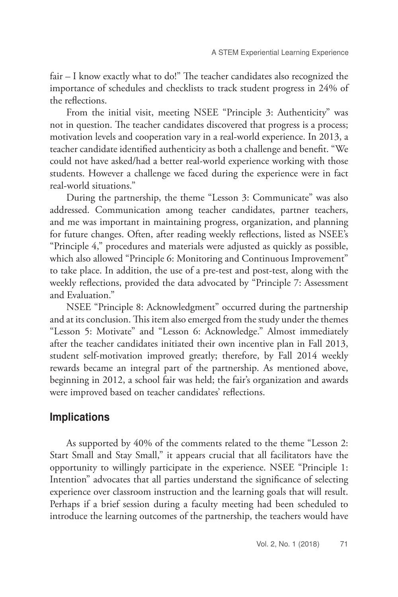fair – I know exactly what to do!" The teacher candidates also recognized the importance of schedules and checklists to track student progress in 24% of the reflections.

From the initial visit, meeting NSEE "Principle 3: Authenticity" was not in question. The teacher candidates discovered that progress is a process; motivation levels and cooperation vary in a real-world experience. In 2013, a teacher candidate identified authenticity as both a challenge and benefit. "We could not have asked/had a better real-world experience working with those students. However a challenge we faced during the experience were in fact real-world situations."

During the partnership, the theme "Lesson 3: Communicate" was also addressed. Communication among teacher candidates, partner teachers, and me was important in maintaining progress, organization, and planning for future changes. Often, after reading weekly reflections, listed as NSEE's "Principle 4," procedures and materials were adjusted as quickly as possible, which also allowed "Principle 6: Monitoring and Continuous Improvement" to take place. In addition, the use of a pre-test and post-test, along with the weekly reflections, provided the data advocated by "Principle 7: Assessment and Evaluation."

NSEE "Principle 8: Acknowledgment" occurred during the partnership and at its conclusion. This item also emerged from the study under the themes "Lesson 5: Motivate" and "Lesson 6: Acknowledge." Almost immediately after the teacher candidates initiated their own incentive plan in Fall 2013, student self-motivation improved greatly; therefore, by Fall 2014 weekly rewards became an integral part of the partnership. As mentioned above, beginning in 2012, a school fair was held; the fair's organization and awards were improved based on teacher candidates' reflections.

# Implications

As supported by 40% of the comments related to the theme "Lesson 2: Start Small and Stay Small," it appears crucial that all facilitators have the opportunity to willingly participate in the experience. NSEE "Principle 1: Intention" advocates that all parties understand the significance of selecting experience over classroom instruction and the learning goals that will result. Perhaps if a brief session during a faculty meeting had been scheduled to introduce the learning outcomes of the partnership, the teachers would have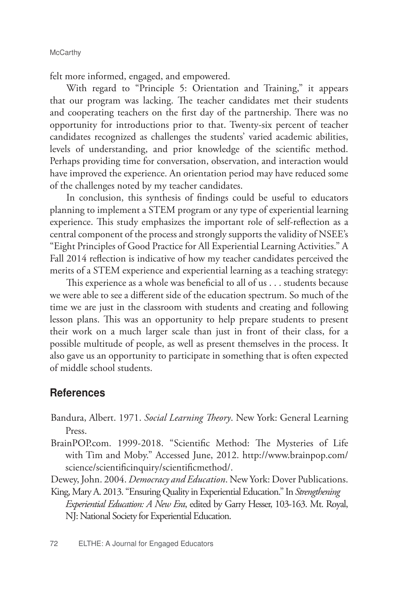felt more informed, engaged, and empowered.

With regard to "Principle 5: Orientation and Training," it appears that our program was lacking. The teacher candidates met their students and cooperating teachers on the first day of the partnership. There was no opportunity for introductions prior to that. Twenty-six percent of teacher candidates recognized as challenges the students' varied academic abilities, levels of understanding, and prior knowledge of the scientific method. Perhaps providing time for conversation, observation, and interaction would have improved the experience. An orientation period may have reduced some of the challenges noted by my teacher candidates.

In conclusion, this synthesis of findings could be useful to educators planning to implement a STEM program or any type of experiential learning experience. This study emphasizes the important role of self-reflection as a central component of the process and strongly supports the validity of NSEE's "Eight Principles of Good Practice for All Experiential Learning Activities." A Fall 2014 reflection is indicative of how my teacher candidates perceived the merits of a STEM experience and experiential learning as a teaching strategy:

This experience as a whole was beneficial to all of us . . . students because we were able to see a different side of the education spectrum. So much of the time we are just in the classroom with students and creating and following lesson plans. This was an opportunity to help prepare students to present their work on a much larger scale than just in front of their class, for a possible multitude of people, as well as present themselves in the process. It also gave us an opportunity to participate in something that is often expected of middle school students.

### References

- Bandura, Albert. 1971. *Social Learning Theory*. New York: General Learning Press.
- BrainPOP.com. 1999-2018. "Scientific Method: The Mysteries of Life with Tim and Moby." Accessed June, 2012. http://www.brainpop.com/ science/scientificinquiry/scientificmethod/.

Dewey, John. 2004. *Democracy and Education*. New York: Dover Publications.

King, Mary A. 2013. "Ensuring Quality in Experiential Education." In *Strengthening Experiential Education: A New Era*, edited by Garry Hesser, 103-163. Mt. Royal, NJ: National Society for Experiential Education.